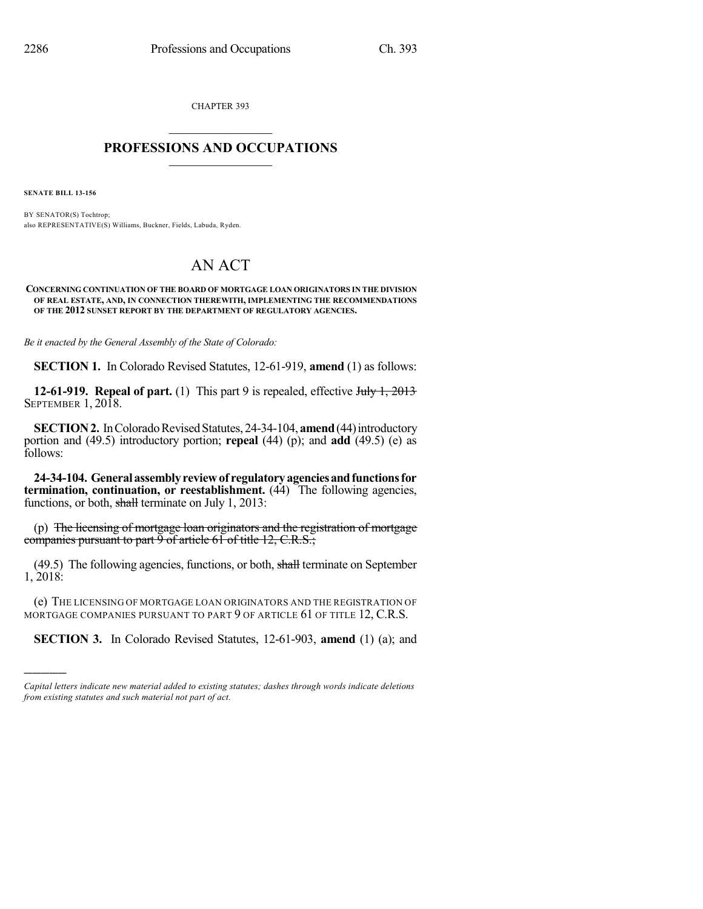CHAPTER 393  $\mathcal{L}_\text{max}$  . The set of the set of the set of the set of the set of the set of the set of the set of the set of the set of the set of the set of the set of the set of the set of the set of the set of the set of the set

## **PROFESSIONS AND OCCUPATIONS**  $\frac{1}{2}$  ,  $\frac{1}{2}$  ,  $\frac{1}{2}$  ,  $\frac{1}{2}$  ,  $\frac{1}{2}$  ,  $\frac{1}{2}$

**SENATE BILL 13-156**

)))))

BY SENATOR(S) Tochtrop; also REPRESENTATIVE(S) Williams, Buckner, Fields, Labuda, Ryden.

## AN ACT

## **CONCERNING CONTINUATION OF THE BOARD OF MORTGAGE LOAN ORIGINATORS IN THE DIVISION OF REAL ESTATE, AND, IN CONNECTION THEREWITH, IMPLEMENTING THE RECOMMENDATIONS OF THE 2012 SUNSET REPORT BY THE DEPARTMENT OF REGULATORY AGENCIES.**

*Be it enacted by the General Assembly of the State of Colorado:*

**SECTION 1.** In Colorado Revised Statutes, 12-61-919, **amend** (1) as follows:

**12-61-919. Repeal of part.** (1) This part 9 is repealed, effective July 1, 2013 SEPTEMBER 1, 2018.

**SECTION 2.** In Colorado Revised Statutes, 24-34-104, **amend** (44) introductory portion and (49.5) introductory portion; **repeal** (44) (p); and **add** (49.5) (e) as follows:

**24-34-104. Generalassemblyreviewof regulatoryagenciesandfunctionsfor termination, continuation, or reestablishment.** (44) The following agencies, functions, or both, shall terminate on July 1, 2013:

(p) The licensing of mortgage loan originators and the registration of mortgage companies pursuant to part 9 of article 61 of title 12, C.R.S.;

(49.5) The following agencies, functions, or both, shall terminate on September 1, 2018:

(e) THE LICENSING OF MORTGAGE LOAN ORIGINATORS AND THE REGISTRATION OF MORTGAGE COMPANIES PURSUANT TO PART 9 OF ARTICLE 61 OF TITLE 12, C.R.S.

**SECTION 3.** In Colorado Revised Statutes, 12-61-903, **amend** (1) (a); and

*Capital letters indicate new material added to existing statutes; dashes through words indicate deletions from existing statutes and such material not part of act.*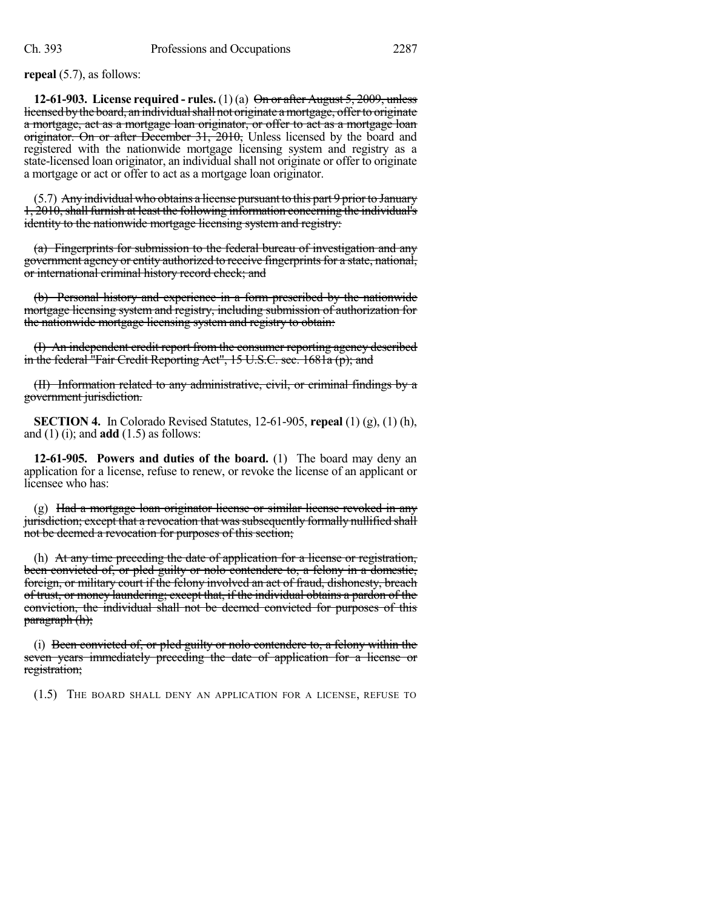**repeal** (5.7), as follows:

**12-61-903. License required - rules.** (1) (a) On or after August 5, 2009, unless licensed by the board, an individual shall not originate a mortgage, offer to originate a mortgage, act as a mortgage loan originator, or offer to act as a mortgage loan originator. On or after December 31, 2010, Unless licensed by the board and registered with the nationwide mortgage licensing system and registry as a state-licensed loan originator, an individual shall not originate or offer to originate a mortgage or act or offer to act as a mortgage loan originator.

(5.7) Any individual who obtains a license pursuant to this part 9 prior to January 1, 2010, shall furnish at least the following information concerning the individual's identity to the nationwide mortgage licensing system and registry:

(a) Fingerprints for submission to the federal bureau of investigation and any government agency or entity authorized to receive fingerprints for a state, national, or international criminal history record check; and

(b) Personal history and experience in a form prescribed by the nationwide mortgage licensing system and registry, including submission of authorization for the nationwide mortgage licensing system and registry to obtain:

(I) An independent credit report from the consumer reporting agency described in the federal "Fair Credit Reporting Act", 15 U.S.C. sec. 1681a (p); and

(II) Information related to any administrative, civil, or criminal findings by a government jurisdiction.

**SECTION 4.** In Colorado Revised Statutes, 12-61-905, **repeal** (1) (g), (1) (h), and (1) (i); and **add** (1.5) as follows:

**12-61-905. Powers and duties of the board.** (1) The board may deny an application for a license, refuse to renew, or revoke the license of an applicant or licensee who has:

 $(g)$  Had a mortgage loan originator license or similar license revoked in any jurisdiction; except that a revocation that was subsequently formally nullified shall not be deemed a revocation for purposes of this section;

(h) At any time preceding the date of application for a license or registration, been convicted of, or pled guilty or nolo contendere to, a felony in a domestic, foreign, or military court if the felony involved an act of fraud, dishonesty, breach of trust, or money laundering; except that, if the individual obtains a pardon of the conviction, the individual shall not be deemed convicted for purposes of this paragraph (h);

(i) Been convicted of, or pled guilty or nolo contendere to, a felony within the seven years immediately preceding the date of application for a license or registration;

(1.5) THE BOARD SHALL DENY AN APPLICATION FOR A LICENSE, REFUSE TO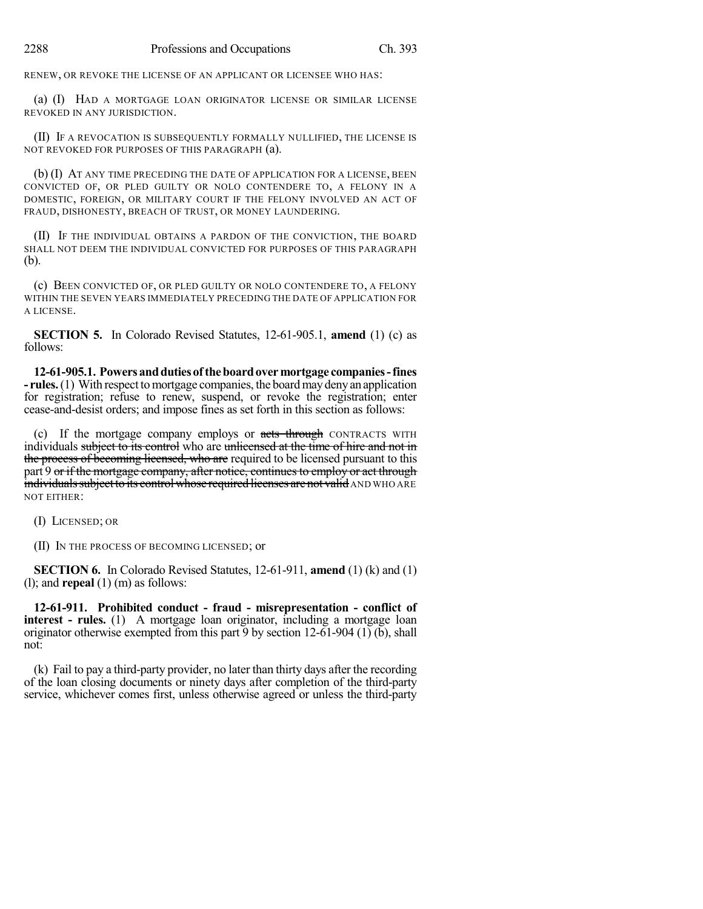RENEW, OR REVOKE THE LICENSE OF AN APPLICANT OR LICENSEE WHO HAS:

(a) (I) HAD A MORTGAGE LOAN ORIGINATOR LICENSE OR SIMILAR LICENSE REVOKED IN ANY JURISDICTION.

(II) IF A REVOCATION IS SUBSEQUENTLY FORMALLY NULLIFIED, THE LICENSE IS NOT REVOKED FOR PURPOSES OF THIS PARAGRAPH (a).

(b) (I) AT ANY TIME PRECEDING THE DATE OF APPLICATION FOR A LICENSE, BEEN CONVICTED OF, OR PLED GUILTY OR NOLO CONTENDERE TO, A FELONY IN A DOMESTIC, FOREIGN, OR MILITARY COURT IF THE FELONY INVOLVED AN ACT OF FRAUD, DISHONESTY, BREACH OF TRUST, OR MONEY LAUNDERING.

(II) IF THE INDIVIDUAL OBTAINS A PARDON OF THE CONVICTION, THE BOARD SHALL NOT DEEM THE INDIVIDUAL CONVICTED FOR PURPOSES OF THIS PARAGRAPH (b).

(c) BEEN CONVICTED OF, OR PLED GUILTY OR NOLO CONTENDERE TO, A FELONY WITHIN THE SEVEN YEARS IMMEDIATELY PRECEDING THE DATE OF APPLICATION FOR A LICENSE.

**SECTION 5.** In Colorado Revised Statutes, 12-61-905.1, **amend** (1) (c) as follows:

**12-61-905.1. Powersanddutiesof theboardovermortgage companies-fines - rules.** (1) With respect to mortgage companies, the board may deny an application for registration; refuse to renew, suspend, or revoke the registration; enter cease-and-desist orders; and impose fines as set forth in this section as follows:

(c) If the mortgage company employs or acts through CONTRACTS WITH individuals subject to its control who are unlicensed at the time of hire and not in the process of becoming licensed, who are required to be licensed pursuant to this part 9 or if the mortgage company, after notice, continues to employ or act through individuals subject to its control whose required licenses are not valid AND WHO ARE NOT EITHER:

(I) LICENSED; OR

(II) IN THE PROCESS OF BECOMING LICENSED; or

**SECTION 6.** In Colorado Revised Statutes, 12-61-911, **amend** (1) (k) and (1) (l); and **repeal** (1) (m) as follows:

**12-61-911. Prohibited conduct - fraud - misrepresentation - conflict of interest - rules.** (1) A mortgage loan originator, including a mortgage loan originator otherwise exempted from this part 9 by section  $12-61-904$  (1) (b), shall not:

(k) Fail to pay a third-party provider, no later than thirty days after the recording of the loan closing documents or ninety days after completion of the third-party service, whichever comes first, unless otherwise agreed or unless the third-party